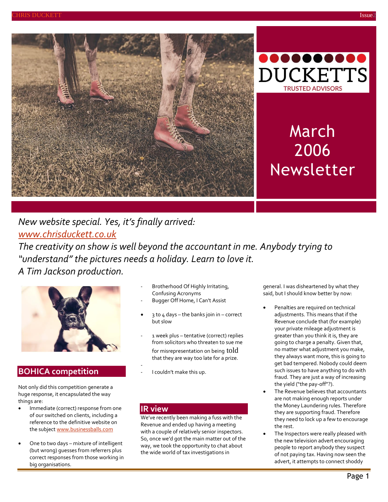



# March 2006 Newsletter

### *New website special. Yes, it's finally arrived: [www.chrisduckett.co.uk](http://www.chrisduckett.co.uk/)*

*The creativity on show is well beyond the accountant in me. Anybody trying to "understand" the pictures needs a holiday. Learn to love it. A Tim Jackson production.*



### **BOHICA competition**

Not only did this competition generate a huge response, it encapsulated the way things are:

- **•** Immediate (correct) response from one of our switched on clients, including a reference to the definitive website on the subjec[t www.businessballs.com](http://www.businessballs.com/)
- One to two days mixture of intelligent (but wrong) guesses from referrers plus correct responses from those working in big organisations.
- Brotherhood Of Highly Irritating, Confusing Acronyms
- Bugger Off Home, I Can't Assist
- 3 to 4 days the banks join in correct but slow
- 1 week plus tentative (correct) replies from solicitors who threaten to sue me for misrepresentation on being told that they are way too late for a prize.

We've recently been making a fuss with the Revenue and ended up having a meeting with a couple of relatively senior inspectors. So, once we'd got the main matter out of the way, we took the opportunity to chat about the wide world of tax investigations in

- I couldn't make this up.

**IR view**

general. I was disheartened by what they said, but I should know better by now:

- Penalties are required on technical adjustments. This means that if the Revenue conclude that (for example) your private mileage adjustment is greater than you think it is, they are going to charge a penalty. Given that, no matter what adjustment you make, they always want more, this is going to get bad tempered. Nobody could deem such issues to have anything to do with fraud. They are just a way of increasing the yield ("the pay-off"?).
- The Revenue believes that accountants are not making enough reports under the Money Laundering rules. Therefore they are supporting fraud. Therefore they need to lock up a few to encourage the rest.
- The Inspectors were really pleased with the new television advert encouraging people to report anybody they suspect of not paying tax. Having now seen the advert, it attempts to connect shoddy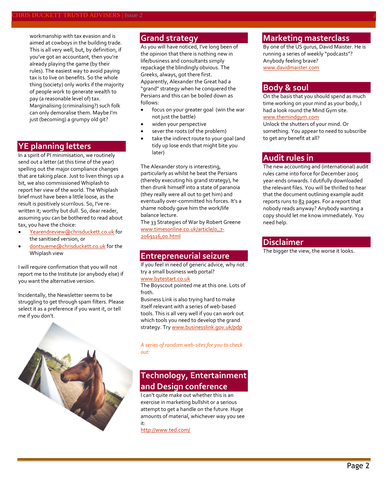workmanship with tax evasion and is aimed at cowboys in the building trade. This is all very well, but, by definition, if you've got an accountant, then you're already playing the game (by their rules). The easiest way to avoid paying tax is to live on benefits. So the whole thing (society) only works if the majority of people work to generate wealth to pay (a reasonable level of) tax. Marginalising (criminalising?) such folk can only demoralise them. Maybe I'm just (becoming) a grumpy old git?

### **YE planning letters**

In a spirit of PI minimisation, we routinely send out a letter (at this time of the year) spelling out the major compliance changes that are taking place. Just to liven things up a bit, we also commissioned Whiplash to report her view of the world. The Whiplash brief must have been a little loose, as the result is positively scurrilous. So, I've rewritten it; worthy but dull. So, dear reader, assuming you can be bothered to read about tax, you have the choice:

- [Yearendreview@chrisduckett.co.uk](mailto:Yearendreview@chrisduckett.co.uk) for the sanitised version, or
- [dontsueme@chrisduckett.co.uk](mailto:dontsueme@chrisduckett.co.uk) for the Whiplash view

I will require confirmation that you will not report me to the Institute (or anybody else) if you want the alternative version.

Incidentally, the Newsletter seems to be struggling to get through spam filters. Please select it as a preference if you want it, or tell me if you don't.



### **Grand strategy**

As you will have noticed, I've long been of the opinion that there is nothing new in life/business and consultants simply repackage the blindingly obvious. The Greeks, always, got there first. Apparently, Alexander the Great had a "grand" strategy when he conquered the Persians and this can be boiled down as follows:

- focus on your greater goal (win the war not just the battle)
- widen your perspective
- sever the roots (of the problem)
- take the indirect route to your goal (and tidy up lose ends that might bite you later)

The Alexander story is interesting, particularly as whilst he beat the Persians (thereby executing his grand strategy), he then drunk himself into a state of paranoia (they really were all out to get him) and eventually over-committed his forces. It's a shame nobody gave him the work/life balance lecture.

The 33 Strategies of War by Robert Greene [www.timesonline.co.uk/article/0,,7-](http://www.timesonline.co.uk/article/0,,7-2069116,00.html) [2069116,00.html](http://www.timesonline.co.uk/article/0,,7-2069116,00.html)

#### **Entrepreneurial seizure**

If you feel in need of generic advice, why not try a small business web portal?

#### [www.bytestart.co.uk](http://www.bytestart.co.uk/)

The Boyscout pointed me at this one. Lots of froth.

Business Link is also trying hard to make itself relevant with a series of web-based tools. This is all very well if you can work out which tools you need to develop the grand strategy. Tr[y www.businesslink.gov.uk/pdp](http://www.businesslink.gov.uk/pdp)

*A series of random web-sites for you to check out:*

### **Technology, Entertainment and Design conference**

I can't quite make out whether this is an exercise in marketing bullshit or a serious attempt to get a handle on the future. Huge amounts of material, whichever way you see it:

<http://www.ted.com/>

### **Marketing masterclass**

By one of the US gurus, David Maister. He is running a series of weekly "podcasts"? Anybody feeling brave? [www.davidmaister.com](http://www.davidmaister.com/)

### **Body & soul**

On the basis that you should spend as much time working on your mind as your body, I had a look round the Mind Gym site. [www.themindgym.com](http://www.themindgym.com/)

Unlock the shutters of your mind. Or something. You appear to need to subscribe to get any benefit at all?

#### **Audit rules in**

The new accounting and (international) audit rules came into force for December 2005 year-ends onwards. I dutifully downloaded the relevant files. You will be thrilled to hear that the document outlining example audit reports runs to 82 pages. For a report that nobody reads anyway? Anybody wanting a copy should let me know immediately. You need help.

#### **Disclaimer**

The bigger the view, the worse it looks.